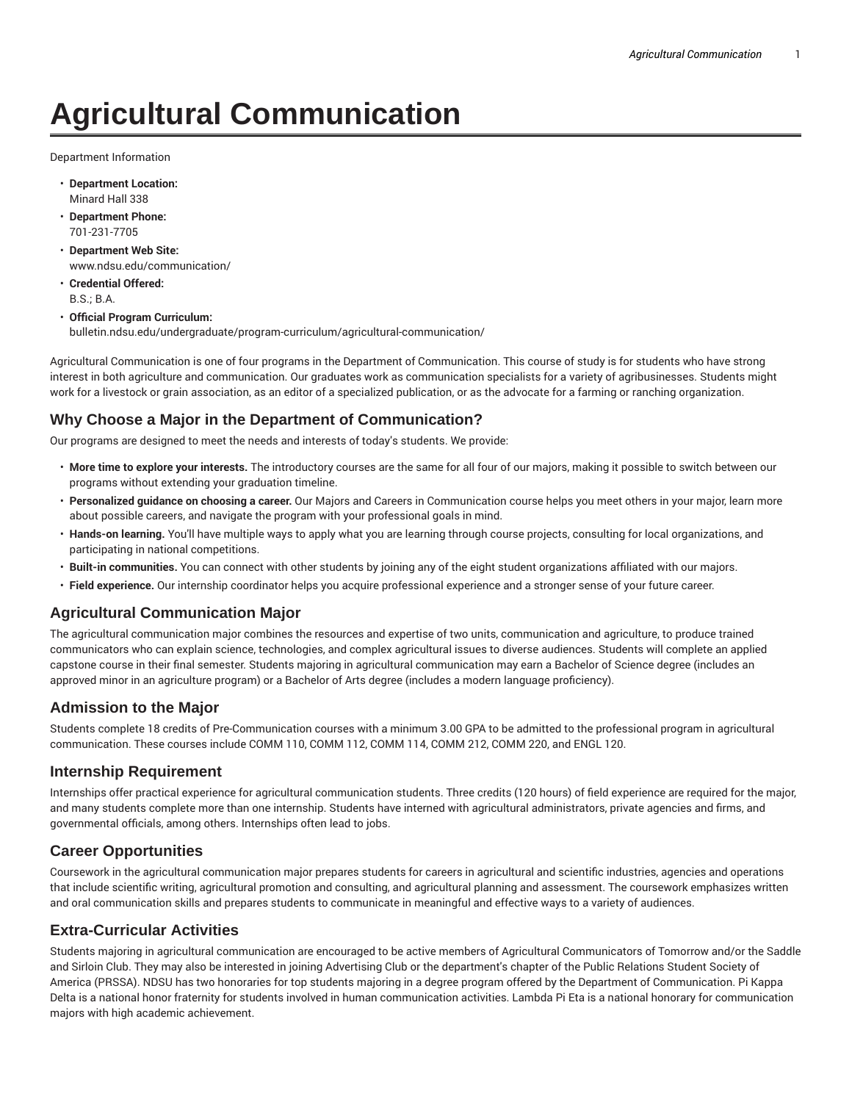# **Agricultural Communication**

Department Information

- **Department Location:** Minard Hall 338
- **Department Phone:** 701-231-7705
- **Department Web Site:** www.ndsu.edu/communication/
- **Credential Offered:** B.S.; B.A.
- **Official Program Curriculum:** bulletin.ndsu.edu/undergraduate/program-curriculum/agricultural-communication/

Agricultural Communication is one of four programs in the Department of Communication. This course of study is for students who have strong interest in both agriculture and communication. Our graduates work as communication specialists for a variety of agribusinesses. Students might work for a livestock or grain association, as an editor of a specialized publication, or as the advocate for a farming or ranching organization.

## **Why Choose a Major in the Department of Communication?**

Our programs are designed to meet the needs and interests of today's students. We provide:

- **More time to explore your interests.** The introductory courses are the same for all four of our majors, making it possible to switch between our programs without extending your graduation timeline.
- **Personalized guidance on choosing a career.** Our Majors and Careers in Communication course helps you meet others in your major, learn more about possible careers, and navigate the program with your professional goals in mind.
- **Hands-on learning.** You'll have multiple ways to apply what you are learning through course projects, consulting for local organizations, and participating in national competitions.
- **Built-in communities.** You can connect with other students by joining any of the eight student organizations affiliated with our majors.
- **Field experience.** Our internship coordinator helps you acquire professional experience and a stronger sense of your future career.

## **Agricultural Communication Major**

The agricultural communication major combines the resources and expertise of two units, communication and agriculture, to produce trained communicators who can explain science, technologies, and complex agricultural issues to diverse audiences. Students will complete an applied capstone course in their final semester. Students majoring in agricultural communication may earn a Bachelor of Science degree (includes an approved minor in an agriculture program) or a Bachelor of Arts degree (includes a modern language proficiency).

## **Admission to the Major**

Students complete 18 credits of Pre-Communication courses with a minimum 3.00 GPA to be admitted to the professional program in agricultural communication. These courses include COMM 110, COMM 112, COMM 114, COMM 212, COMM 220, and ENGL 120.

#### **Internship Requirement**

Internships offer practical experience for agricultural communication students. Three credits (120 hours) of field experience are required for the major, and many students complete more than one internship. Students have interned with agricultural administrators, private agencies and firms, and governmental officials, among others. Internships often lead to jobs.

#### **Career Opportunities**

Coursework in the agricultural communication major prepares students for careers in agricultural and scientific industries, agencies and operations that include scientific writing, agricultural promotion and consulting, and agricultural planning and assessment. The coursework emphasizes written and oral communication skills and prepares students to communicate in meaningful and effective ways to a variety of audiences.

## **Extra-Curricular Activities**

Students majoring in agricultural communication are encouraged to be active members of Agricultural Communicators of Tomorrow and/or the Saddle and Sirloin Club. They may also be interested in joining Advertising Club or the department's chapter of the Public Relations Student Society of America (PRSSA). NDSU has two honoraries for top students majoring in a degree program offered by the Department of Communication. Pi Kappa Delta is a national honor fraternity for students involved in human communication activities. Lambda Pi Eta is a national honorary for communication majors with high academic achievement.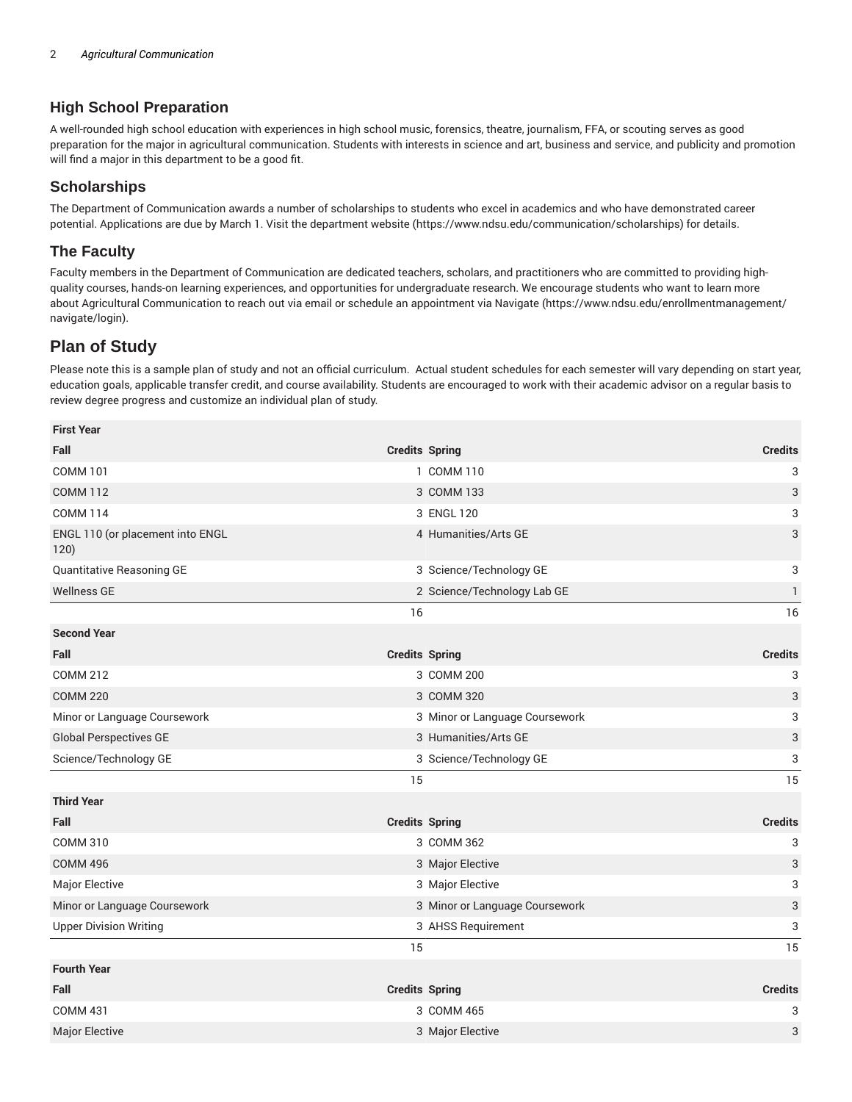## **High School Preparation**

A well-rounded high school education with experiences in high school music, forensics, theatre, journalism, FFA, or scouting serves as good preparation for the major in agricultural communication. Students with interests in science and art, business and service, and publicity and promotion will find a major in this department to be a good fit.

#### **Scholarships**

The Department of Communication awards a number of scholarships to students who excel in academics and who have demonstrated career potential. Applications are due by March 1. Visit the department website (https://www.ndsu.edu/communication/scholarships) for details.

#### **The Faculty**

Faculty members in the Department of Communication are dedicated teachers, scholars, and practitioners who are committed to providing highquality courses, hands-on learning experiences, and opportunities for undergraduate research. We encourage students who want to learn more about Agricultural Communication to reach out via email or schedule an appointment via Navigate (https://www.ndsu.edu/enrollmentmanagement/ navigate/login).

## **Plan of Study**

Please note this is a sample plan of study and not an official curriculum. Actual student schedules for each semester will vary depending on start year, education goals, applicable transfer credit, and course availability. Students are encouraged to work with their academic advisor on a regular basis to review degree progress and customize an individual plan of study.

| <b>First Year</b>                        |    |                                |                           |
|------------------------------------------|----|--------------------------------|---------------------------|
| Fall                                     |    | <b>Credits Spring</b>          | <b>Credits</b>            |
| <b>COMM 101</b>                          |    | 1 COMM 110                     | 3                         |
| <b>COMM 112</b>                          |    | 3 COMM 133                     | $\ensuremath{\mathsf{3}}$ |
| <b>COMM 114</b>                          |    | 3 ENGL 120                     | 3                         |
| ENGL 110 (or placement into ENGL<br>120) |    | 4 Humanities/Arts GE           | 3                         |
| Quantitative Reasoning GE                |    | 3 Science/Technology GE        | 3                         |
| <b>Wellness GE</b>                       |    | 2 Science/Technology Lab GE    | $\mathbf{1}$              |
|                                          | 16 |                                | 16                        |
| <b>Second Year</b>                       |    |                                |                           |
| Fall                                     |    | <b>Credits Spring</b>          | <b>Credits</b>            |
| <b>COMM 212</b>                          |    | 3 COMM 200                     | 3                         |
| <b>COMM 220</b>                          |    | 3 COMM 320                     | 3                         |
| Minor or Language Coursework             |    | 3 Minor or Language Coursework | 3                         |
| <b>Global Perspectives GE</b>            |    | 3 Humanities/Arts GE           | $\ensuremath{\mathsf{3}}$ |
| Science/Technology GE                    |    | 3 Science/Technology GE        | 3                         |
|                                          | 15 |                                | 15                        |
| <b>Third Year</b>                        |    |                                |                           |
| Fall                                     |    | <b>Credits Spring</b>          | <b>Credits</b>            |
| <b>COMM 310</b>                          |    | 3 COMM 362                     | 3                         |
| <b>COMM 496</b>                          |    | 3 Major Elective               | 3                         |
| Major Elective                           |    | 3 Major Elective               | 3                         |
| Minor or Language Coursework             |    | 3 Minor or Language Coursework | 3                         |
| <b>Upper Division Writing</b>            |    | 3 AHSS Requirement             | 3                         |
|                                          | 15 |                                | 15                        |
| <b>Fourth Year</b>                       |    |                                |                           |
| Fall                                     |    | <b>Credits Spring</b>          | <b>Credits</b>            |
| <b>COMM 431</b>                          |    | 3 COMM 465                     | 3                         |
| Major Elective                           |    | 3 Major Elective               | 3                         |